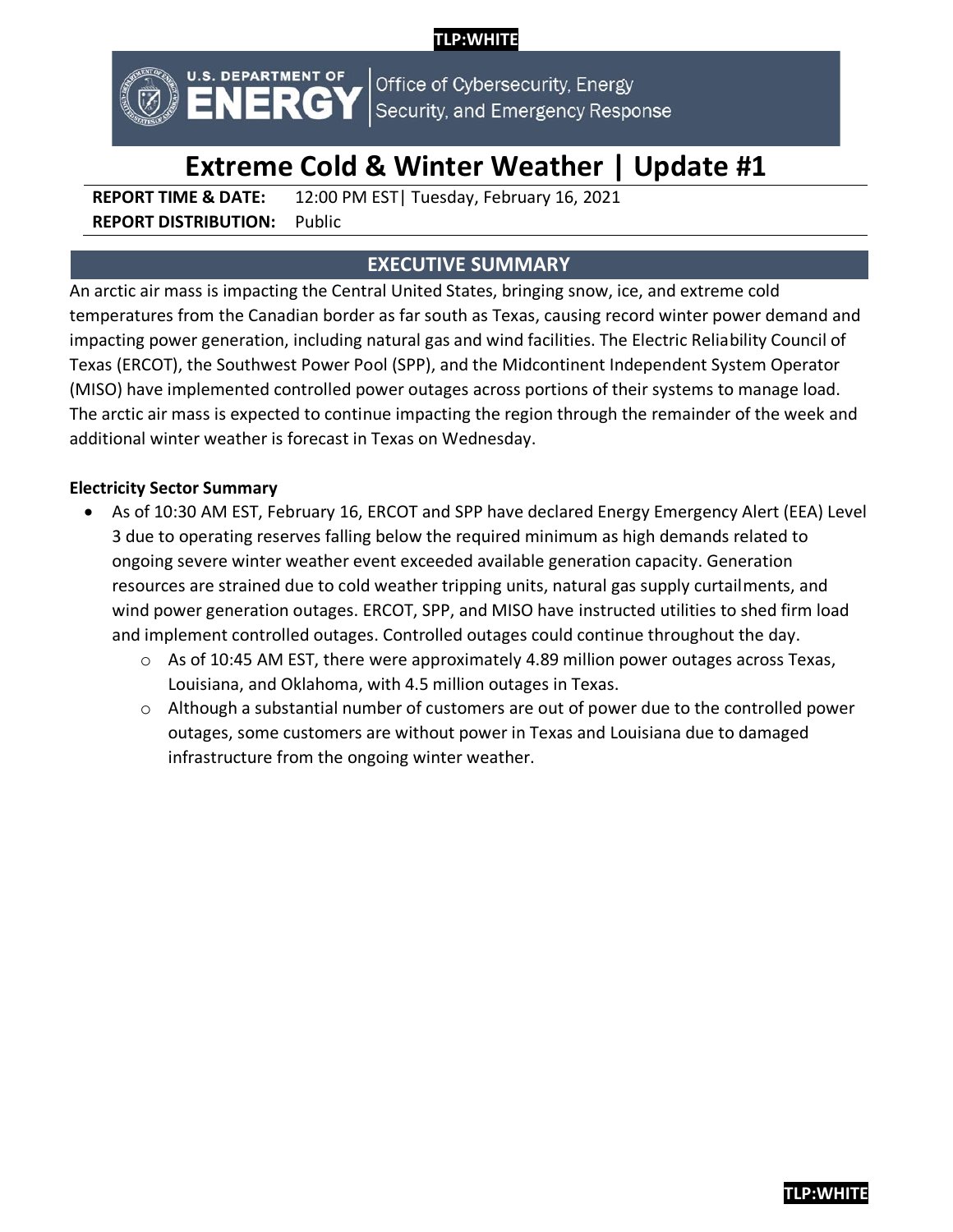# **TLP:WHITE**



Office of Cybersecurity, Energy<br>Security, and Emergency Response

# **Extreme Cold & Winter Weather | Update #1**

**REPORT TIME & DATE:** 12:00 PM EST| Tuesday, February 16, 2021 **REPORT DISTRIBUTION:** Public

# **EXECUTIVE SUMMARY**

An arctic air mass is impacting the Central United States, bringing snow, ice, and extreme cold temperatures from the Canadian border as far south as Texas, causing record winter power demand and impacting power generation, including natural gas and wind facilities. The Electric Reliability Council of Texas (ERCOT), the Southwest Power Pool (SPP), and the Midcontinent Independent System Operator (MISO) have implemented controlled power outages across portions of their systems to manage load. The arctic air mass is expected to continue impacting the region through the remainder of the week and additional winter weather is forecast in Texas on Wednesday.

# **Electricity Sector Summary**

- As of 10:30 AM EST, February 16, ERCOT and SPP have declared Energy Emergency Alert (EEA) Level 3 due to operating reserves falling below the required minimum as high demands related to ongoing severe winter weather event exceeded available generation capacity. Generation resources are strained due to cold weather tripping units, natural gas supply curtailments, and wind power generation outages. ERCOT, SPP, and MISO have instructed utilities to shed firm load and implement controlled outages. Controlled outages could continue throughout the day.
	- $\circ$  As of 10:45 AM EST, there were approximately 4.89 million power outages across Texas, Louisiana, and Oklahoma, with 4.5 million outages in Texas.
	- $\circ$  Although a substantial number of customers are out of power due to the controlled power outages, some customers are without power in Texas and Louisiana due to damaged infrastructure from the ongoing winter weather.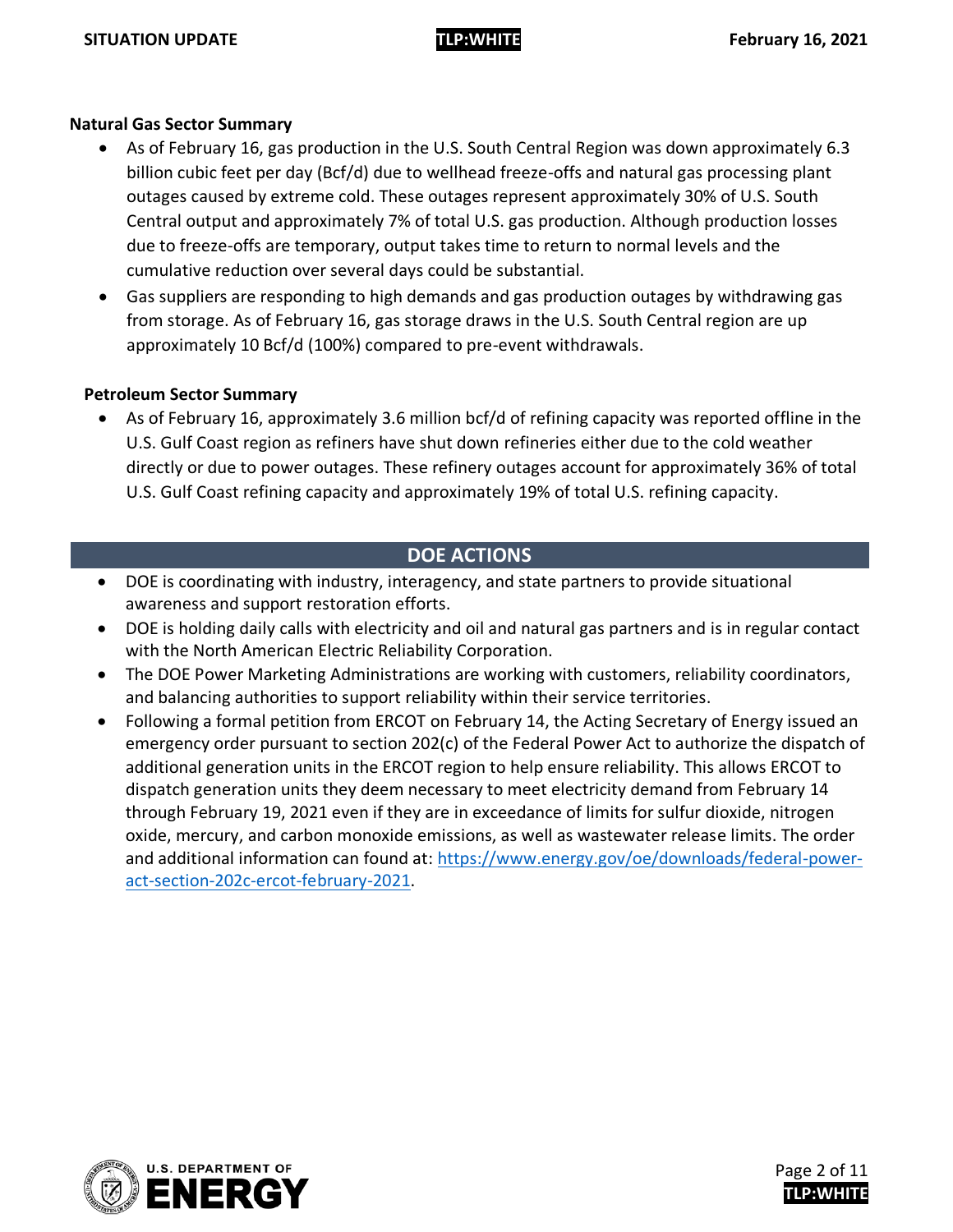### **Natural Gas Sector Summary**

- As of February 16, gas production in the U.S. South Central Region was down approximately 6.3 billion cubic feet per day (Bcf/d) due to wellhead freeze-offs and natural gas processing plant outages caused by extreme cold. These outages represent approximately 30% of U.S. South Central output and approximately 7% of total U.S. gas production. Although production losses due to freeze-offs are temporary, output takes time to return to normal levels and the cumulative reduction over several days could be substantial.
- Gas suppliers are responding to high demands and gas production outages by withdrawing gas from storage. As of February 16, gas storage draws in the U.S. South Central region are up approximately 10 Bcf/d (100%) compared to pre-event withdrawals.

### **Petroleum Sector Summary**

• As of February 16, approximately 3.6 million bcf/d of refining capacity was reported offline in the U.S. Gulf Coast region as refiners have shut down refineries either due to the cold weather directly or due to power outages. These refinery outages account for approximately 36% of total U.S. Gulf Coast refining capacity and approximately 19% of total U.S. refining capacity.

# **DOE ACTIONS**

- DOE is coordinating with industry, interagency, and state partners to provide situational awareness and support restoration efforts.
- DOE is holding daily calls with electricity and oil and natural gas partners and is in regular contact with the North American Electric Reliability Corporation.
- The DOE Power Marketing Administrations are working with customers, reliability coordinators, and balancing authorities to support reliability within their service territories.
- Following a formal petition from ERCOT on February 14, the Acting Secretary of Energy issued an emergency order pursuant to section 202(c) of the Federal Power Act to authorize the dispatch of additional generation units in the ERCOT region to help ensure reliability. This allows ERCOT to dispatch generation units they deem necessary to meet electricity demand from February 14 through February 19, 2021 even if they are in exceedance of limits for sulfur dioxide, nitrogen oxide, mercury, and carbon monoxide emissions, as well as wastewater release limits. The order and additional information can found at: [https://www.energy.gov/oe/downloads/federal-power](https://www.energy.gov/oe/downloads/federal-power-act-section-202c-ercot-february-2021)[act-section-202c-ercot-february-2021.](https://www.energy.gov/oe/downloads/federal-power-act-section-202c-ercot-february-2021)

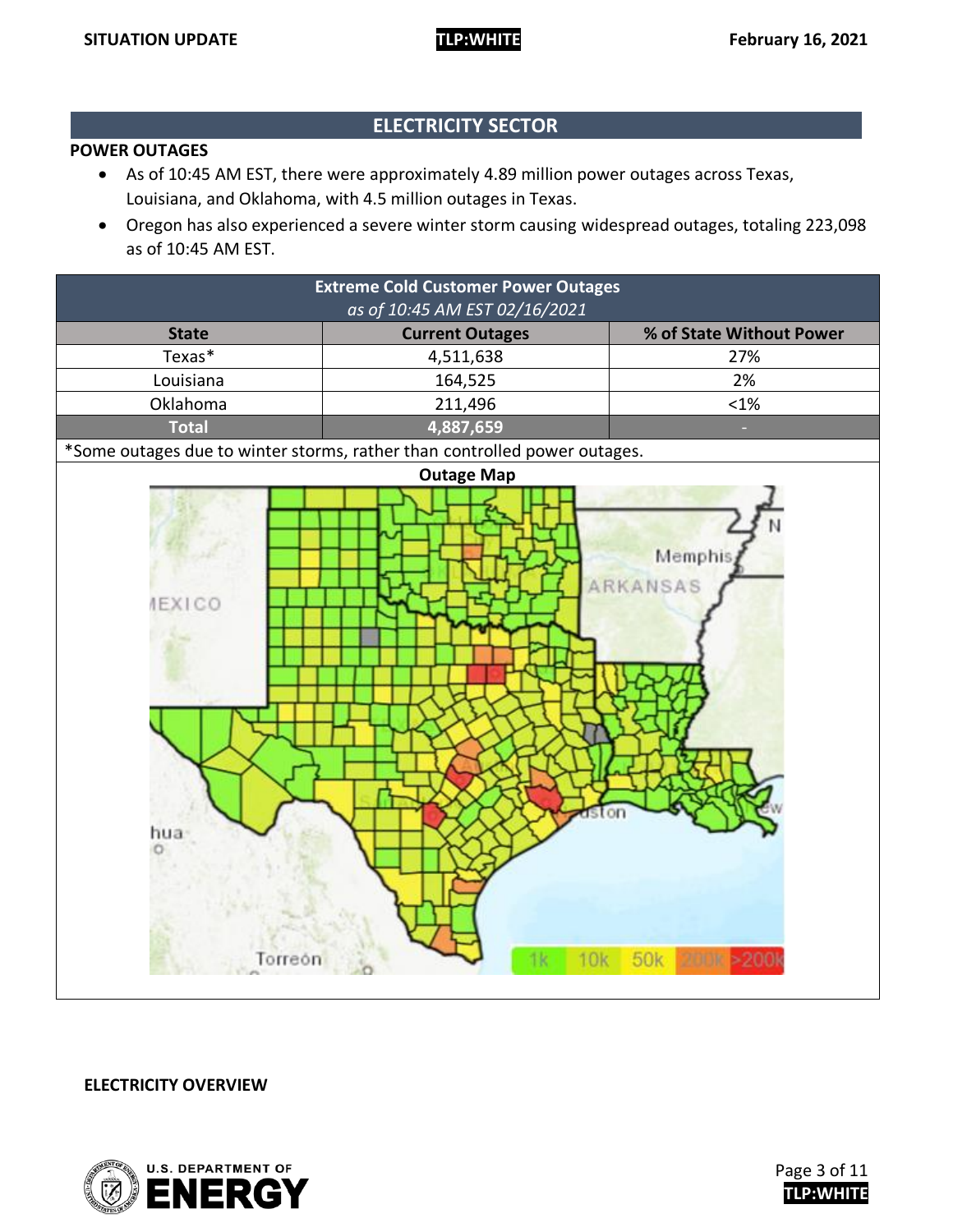# **ELECTRICITY SECTOR**

#### **POWER OUTAGES**

- As of 10:45 AM EST, there were approximately 4.89 million power outages across Texas, Louisiana, and Oklahoma, with 4.5 million outages in Texas.
- Oregon has also experienced a severe winter storm causing widespread outages, totaling 223,098 as of 10:45 AM EST.

| <b>Extreme Cold Customer Power Outages</b><br>as of 10:45 AM EST 02/16/2021  |                        |                          |  |  |  |  |  |
|------------------------------------------------------------------------------|------------------------|--------------------------|--|--|--|--|--|
| <b>State</b>                                                                 | <b>Current Outages</b> | % of State Without Power |  |  |  |  |  |
| Texas*                                                                       | 4,511,638              | 27%                      |  |  |  |  |  |
| Louisiana                                                                    | 164,525                | 2%                       |  |  |  |  |  |
| Oklahoma                                                                     | 211,496                | $<1\%$                   |  |  |  |  |  |
| <b>Total</b>                                                                 | 4,887,659              |                          |  |  |  |  |  |
| *Some outages due to winter storms, rather than controlled power outages.    |                        |                          |  |  |  |  |  |
| <b>Outage Map</b>                                                            |                        |                          |  |  |  |  |  |
| Memphis<br>ARKANSAS<br><b>IEXICO</b><br>ton<br>hua<br>50k 200 200<br>Torreon |                        |                          |  |  |  |  |  |

**ELECTRICITY OVERVIEW**

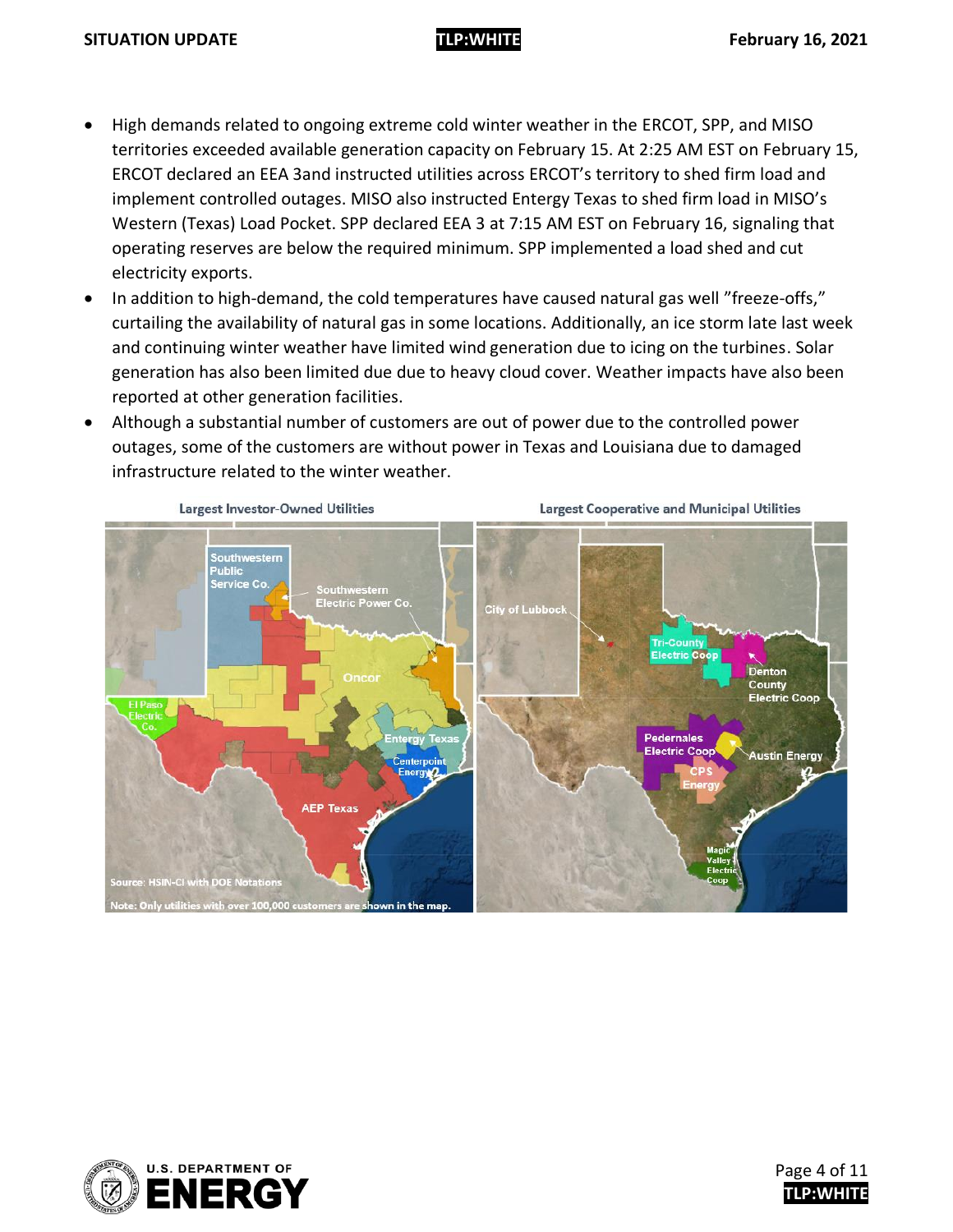- High demands related to ongoing extreme cold winter weather in the ERCOT, SPP, and MISO territories exceeded available generation capacity on February 15. At 2:25 AM EST on February 15, ERCOT declared an EEA 3and instructed utilities across ERCOT's territory to shed firm load and implement controlled outages. MISO also instructed Entergy Texas to shed firm load in MISO's Western (Texas) Load Pocket. SPP declared EEA 3 at 7:15 AM EST on February 16, signaling that operating reserves are below the required minimum. SPP implemented a load shed and cut electricity exports.
- In addition to high-demand, the cold temperatures have caused natural gas well "freeze-offs," curtailing the availability of natural gas in some locations. Additionally, an ice storm late last week and continuing winter weather have limited wind generation due to icing on the turbines. Solar generation has also been limited due due to heavy cloud cover. Weather impacts have also been reported at other generation facilities.
- Although a substantial number of customers are out of power due to the controlled power outages, some of the customers are without power in Texas and Louisiana due to damaged infrastructure related to the winter weather.



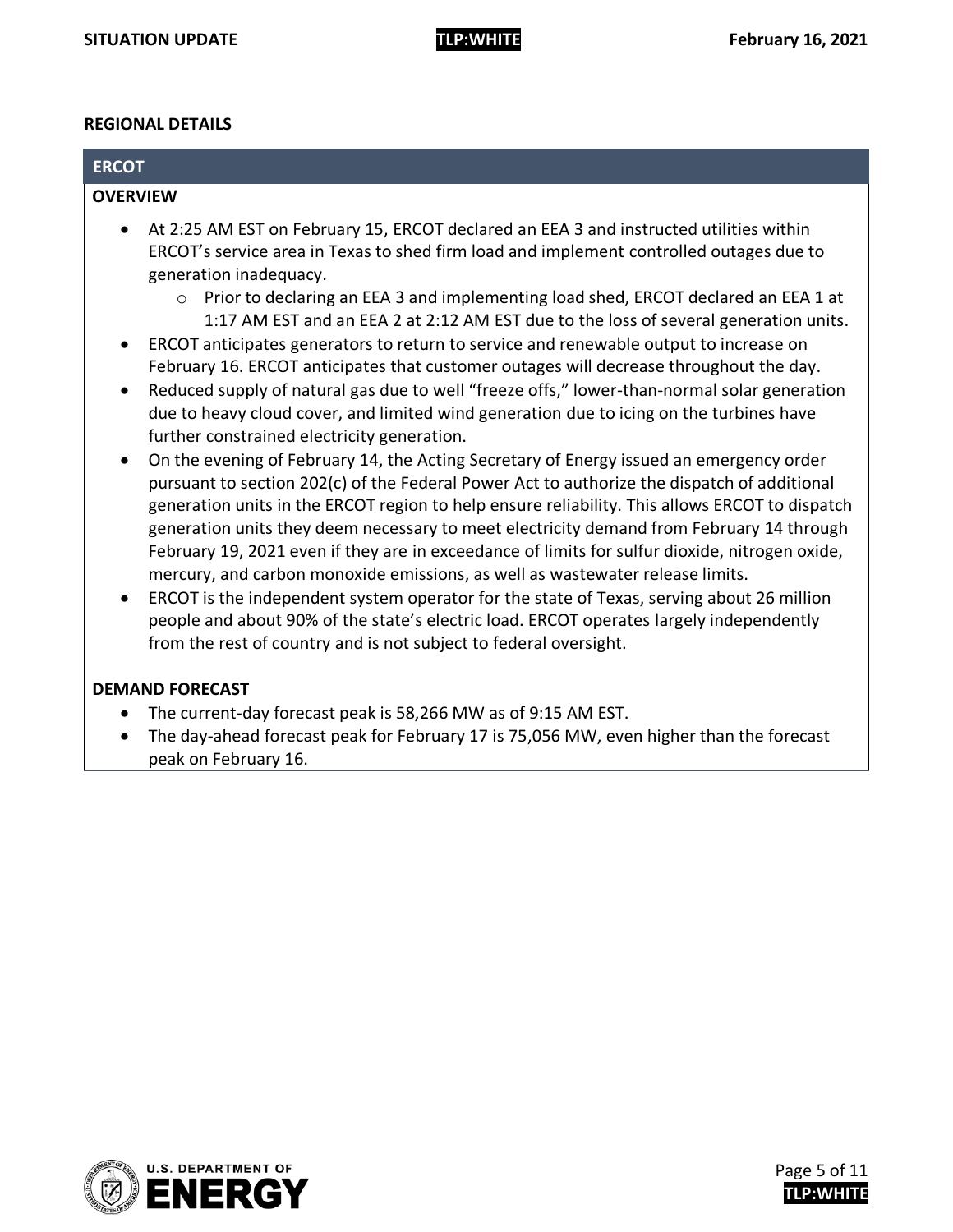#### **REGIONAL DETAILS**

| <b>ERCOT</b>                                                                                                                                                                                                                                                                                                                                                                                                                                                                                                                                                                                                                                                                                                                                                                                                                                                                                                                                                                                                                                                                                                                                                                                                                                                                                                                                                                                                                                                                                                                                                                                                                                                                                           |
|--------------------------------------------------------------------------------------------------------------------------------------------------------------------------------------------------------------------------------------------------------------------------------------------------------------------------------------------------------------------------------------------------------------------------------------------------------------------------------------------------------------------------------------------------------------------------------------------------------------------------------------------------------------------------------------------------------------------------------------------------------------------------------------------------------------------------------------------------------------------------------------------------------------------------------------------------------------------------------------------------------------------------------------------------------------------------------------------------------------------------------------------------------------------------------------------------------------------------------------------------------------------------------------------------------------------------------------------------------------------------------------------------------------------------------------------------------------------------------------------------------------------------------------------------------------------------------------------------------------------------------------------------------------------------------------------------------|
| <b>OVERVIEW</b>                                                                                                                                                                                                                                                                                                                                                                                                                                                                                                                                                                                                                                                                                                                                                                                                                                                                                                                                                                                                                                                                                                                                                                                                                                                                                                                                                                                                                                                                                                                                                                                                                                                                                        |
| At 2:25 AM EST on February 15, ERCOT declared an EEA 3 and instructed utilities within<br>ERCOT's service area in Texas to shed firm load and implement controlled outages due to<br>generation inadequacy.<br>o Prior to declaring an EEA 3 and implementing load shed, ERCOT declared an EEA 1 at<br>1:17 AM EST and an EEA 2 at 2:12 AM EST due to the loss of several generation units.<br>ERCOT anticipates generators to return to service and renewable output to increase on<br>$\bullet$<br>February 16. ERCOT anticipates that customer outages will decrease throughout the day.<br>Reduced supply of natural gas due to well "freeze offs," lower-than-normal solar generation<br>$\bullet$<br>due to heavy cloud cover, and limited wind generation due to icing on the turbines have<br>further constrained electricity generation.<br>On the evening of February 14, the Acting Secretary of Energy issued an emergency order<br>$\bullet$<br>pursuant to section 202(c) of the Federal Power Act to authorize the dispatch of additional<br>generation units in the ERCOT region to help ensure reliability. This allows ERCOT to dispatch<br>generation units they deem necessary to meet electricity demand from February 14 through<br>February 19, 2021 even if they are in exceedance of limits for sulfur dioxide, nitrogen oxide,<br>mercury, and carbon monoxide emissions, as well as wastewater release limits.<br>ERCOT is the independent system operator for the state of Texas, serving about 26 million<br>people and about 90% of the state's electric load. ERCOT operates largely independently<br>from the rest of country and is not subject to federal oversight. |
| <b>DEMAND FORECAST</b>                                                                                                                                                                                                                                                                                                                                                                                                                                                                                                                                                                                                                                                                                                                                                                                                                                                                                                                                                                                                                                                                                                                                                                                                                                                                                                                                                                                                                                                                                                                                                                                                                                                                                 |
| The current-day forecast peak is 58,266 MW as of 9:15 AM EST.                                                                                                                                                                                                                                                                                                                                                                                                                                                                                                                                                                                                                                                                                                                                                                                                                                                                                                                                                                                                                                                                                                                                                                                                                                                                                                                                                                                                                                                                                                                                                                                                                                          |
| The day-ahead forecast peak for February 17 is 75,056 MW, even higher than the forecast<br>peak on February 16.                                                                                                                                                                                                                                                                                                                                                                                                                                                                                                                                                                                                                                                                                                                                                                                                                                                                                                                                                                                                                                                                                                                                                                                                                                                                                                                                                                                                                                                                                                                                                                                        |

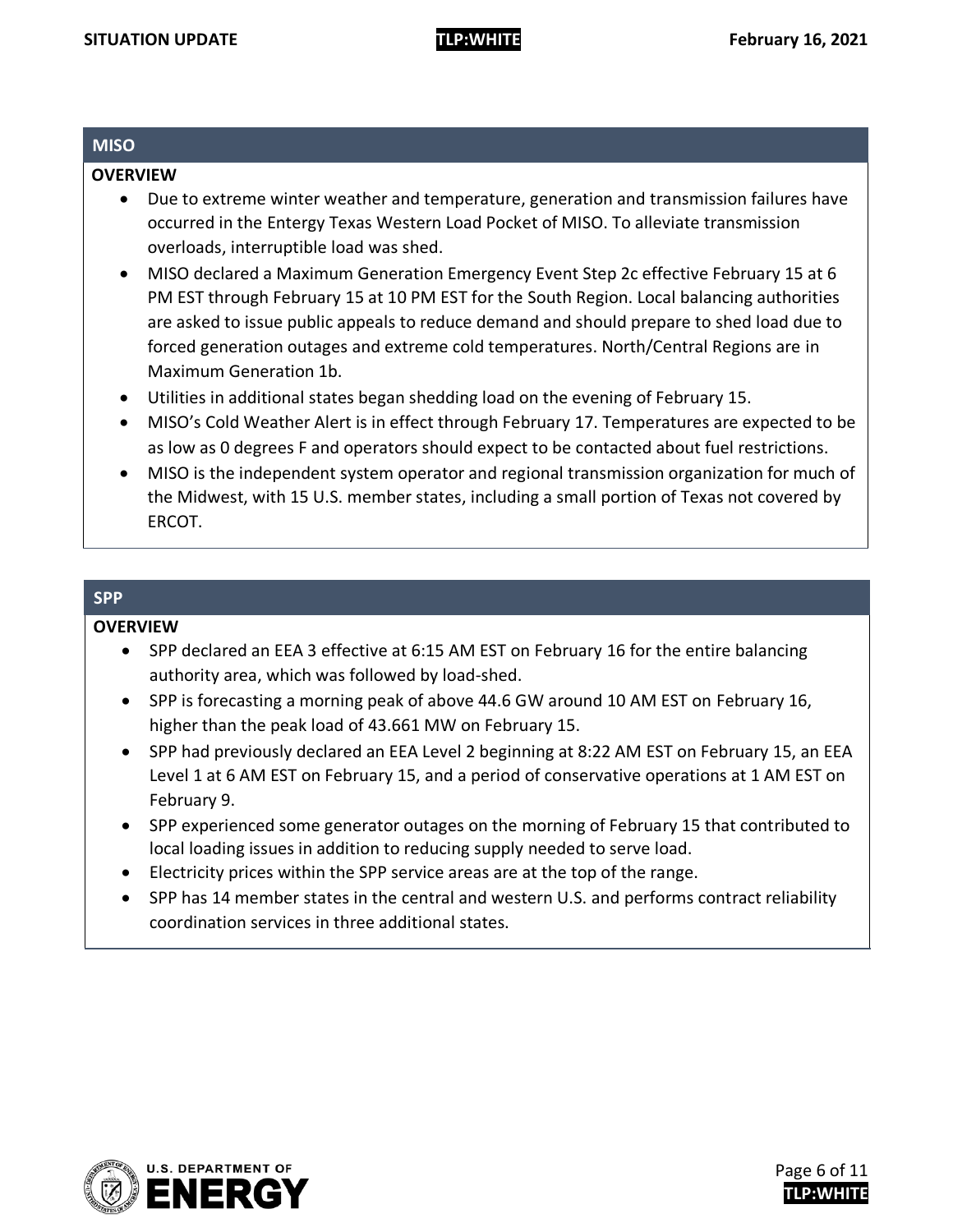#### **MISO**

#### **OVERVIEW**

- Due to extreme winter weather and temperature, generation and transmission failures have occurred in the Entergy Texas Western Load Pocket of MISO. To alleviate transmission overloads, interruptible load was shed.
- MISO declared a Maximum Generation Emergency Event Step 2c effective February 15 at 6 PM EST through February 15 at 10 PM EST for the South Region. Local balancing authorities are asked to issue public appeals to reduce demand and should prepare to shed load due to forced generation outages and extreme cold temperatures. North/Central Regions are in Maximum Generation 1b.
- Utilities in additional states began shedding load on the evening of February 15.
- MISO's Cold Weather Alert is in effect through February 17. Temperatures are expected to be as low as 0 degrees F and operators should expect to be contacted about fuel restrictions.
- MISO is the independent system operator and regional transmission organization for much of the Midwest, with 15 U.S. member states, including a small portion of Texas not covered by ERCOT.

#### **SPP**

#### **OVERVIEW**

- SPP declared an EEA 3 effective at 6:15 AM EST on February 16 for the entire balancing authority area, which was followed by load-shed.
- SPP is forecasting a morning peak of above 44.6 GW around 10 AM EST on February 16, higher than the peak load of 43.661 MW on February 15.
- SPP had previously declared an EEA Level 2 beginning at 8:22 AM EST on February 15, an EEA Level 1 at 6 AM EST on February 15, and a period of conservative operations at 1 AM EST on February 9.
- SPP experienced some generator outages on the morning of February 15 that contributed to local loading issues in addition to reducing supply needed to serve load.
- Electricity prices within the SPP service areas are at the top of the range.
- SPP has 14 member states in the central and western U.S. and performs contract reliability coordination services in three additional states.



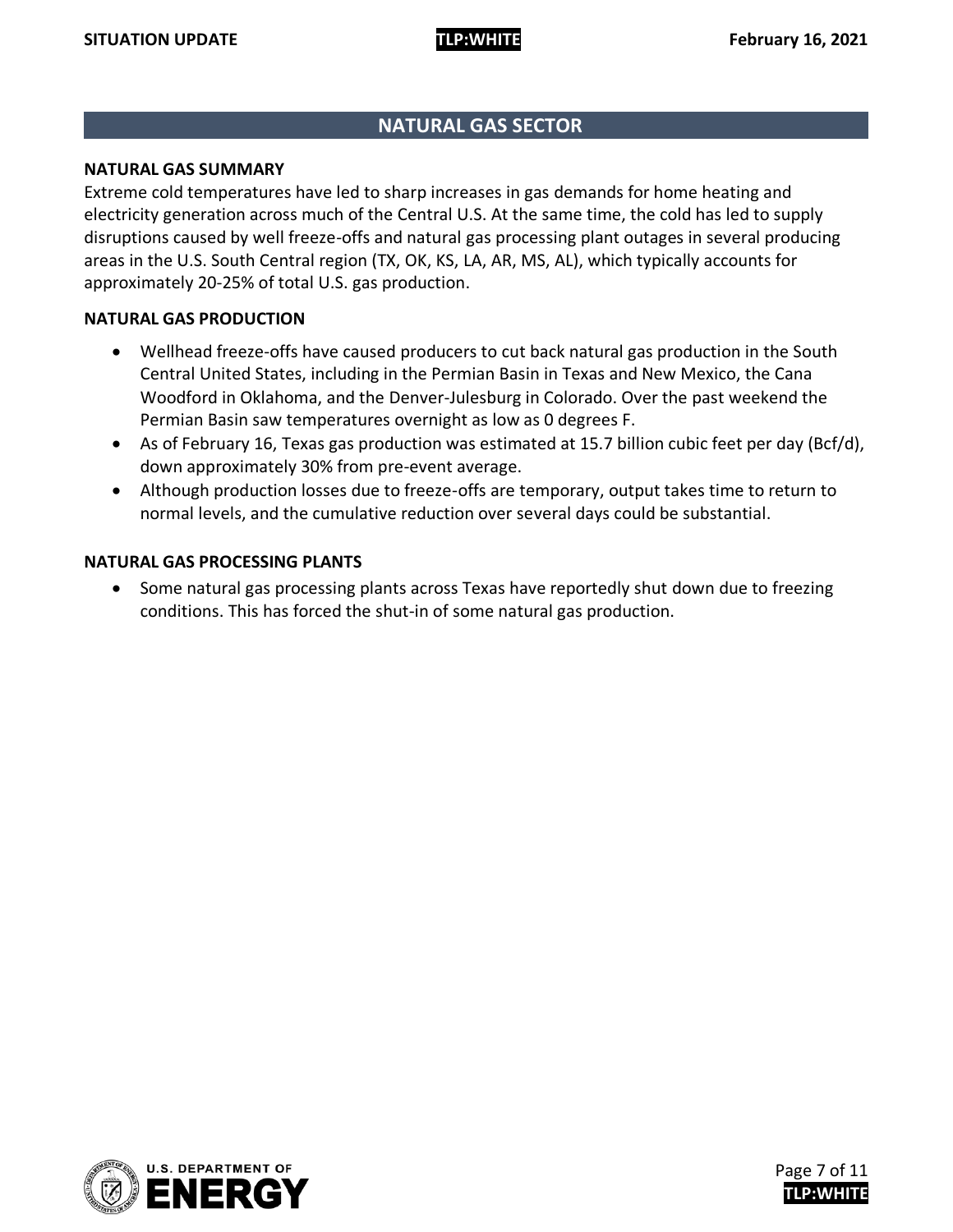# **NATURAL GAS SECTOR**

#### **NATURAL GAS SUMMARY**

Extreme cold temperatures have led to sharp increases in gas demands for home heating and electricity generation across much of the Central U.S. At the same time, the cold has led to supply disruptions caused by well freeze-offs and natural gas processing plant outages in several producing areas in the U.S. South Central region (TX, OK, KS, LA, AR, MS, AL), which typically accounts for approximately 20-25% of total U.S. gas production.

#### **NATURAL GAS PRODUCTION**

- Wellhead freeze-offs have caused producers to cut back natural gas production in the South Central United States, including in the Permian Basin in Texas and New Mexico, the Cana Woodford in Oklahoma, and the Denver-Julesburg in Colorado. Over the past weekend the Permian Basin saw temperatures overnight as low as 0 degrees F.
- As of February 16, Texas gas production was estimated at 15.7 billion cubic feet per day (Bcf/d), down approximately 30% from pre-event average.
- Although production losses due to freeze-offs are temporary, output takes time to return to normal levels, and the cumulative reduction over several days could be substantial.

#### **NATURAL GAS PROCESSING PLANTS**

• Some natural gas processing plants across Texas have reportedly shut down due to freezing conditions. This has forced the shut-in of some natural gas production.

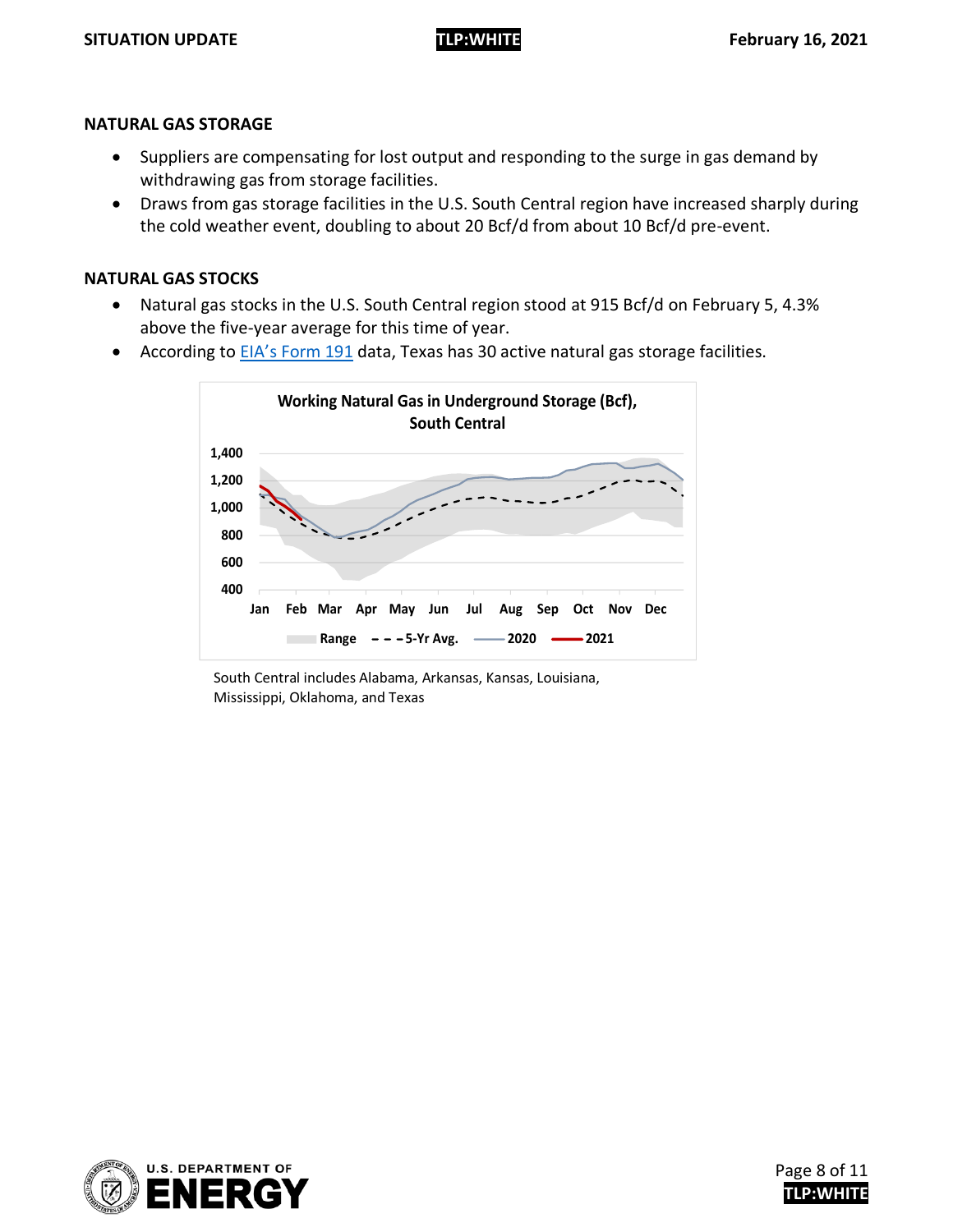#### **NATURAL GAS STORAGE**

- Suppliers are compensating for lost output and responding to the surge in gas demand by withdrawing gas from storage facilities.
- Draws from gas storage facilities in the U.S. South Central region have increased sharply during the cold weather event, doubling to about 20 Bcf/d from about 10 Bcf/d pre-event.

#### **NATURAL GAS STOCKS**

- Natural gas stocks in the U.S. South Central region stood at 915 Bcf/d on February 5, 4.3% above the five-year average for this time of year.
- According to [EIA's Form 191](https://www.eia.gov/naturalgas/ngqs/#?report=RP7&year1=2019&year2=2019&company=Name) data, Texas has 30 active natural gas storage facilities.



South Central includes Alabama, Arkansas, Kansas, Louisiana, Mississippi, Oklahoma, and Texas



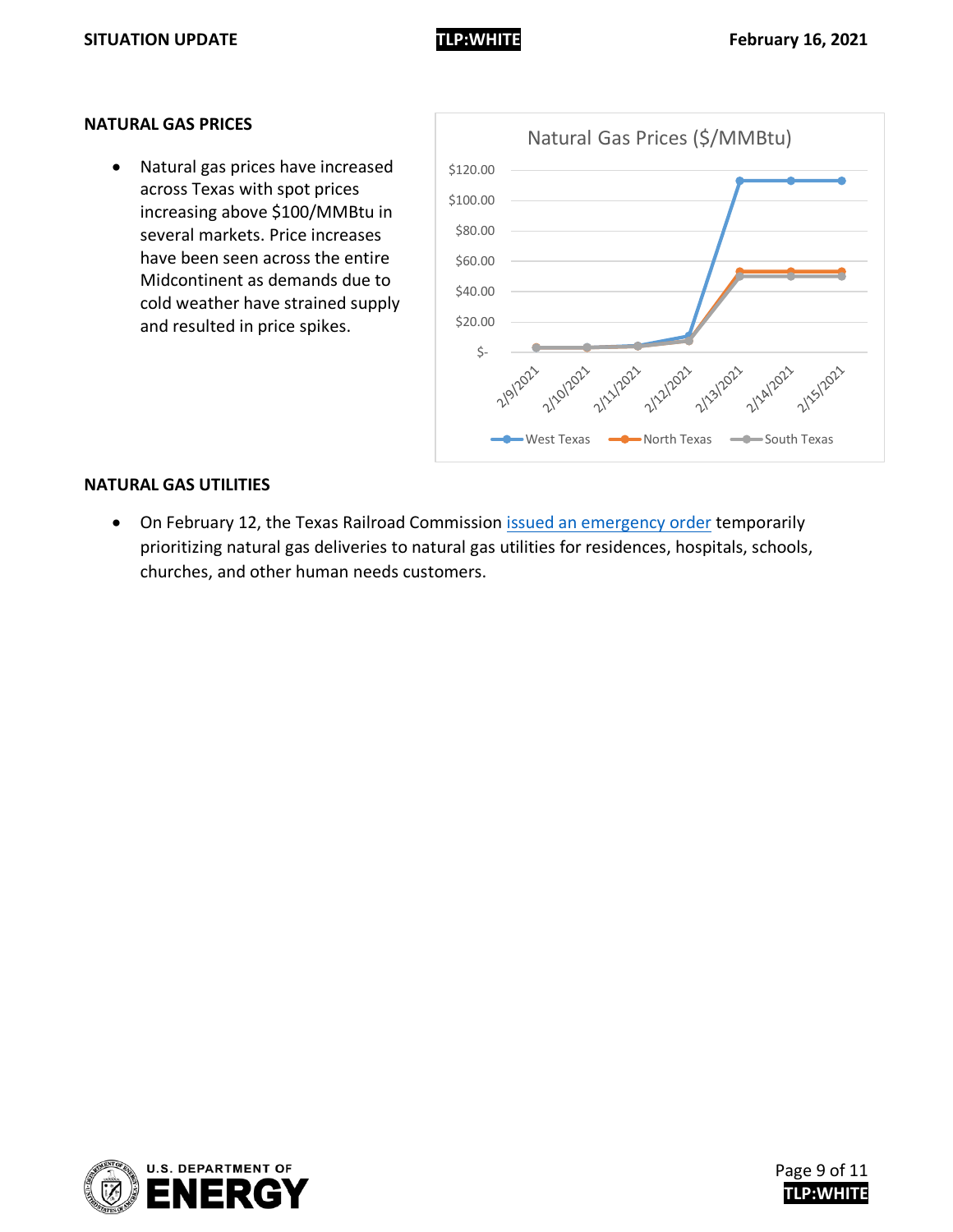#### **SITUATION UPDATE TLP:WHITE February 16, 2021**

#### **NATURAL GAS PRICES**

• Natural gas prices have increased across Texas with spot prices increasing above \$100/MMBtu in several markets. Price increases have been seen across the entire Midcontinent as demands due to cold weather have strained supply and resulted in price spikes.



#### **NATURAL GAS UTILITIES**

• On February 12, the Texas Railroad Commission [issued an emergency order](https://rrc.texas.gov/media/cw3ewubr/emergency-order-021221-final-signed.pdf) temporarily prioritizing natural gas deliveries to natural gas utilities for residences, hospitals, schools, churches, and other human needs customers.



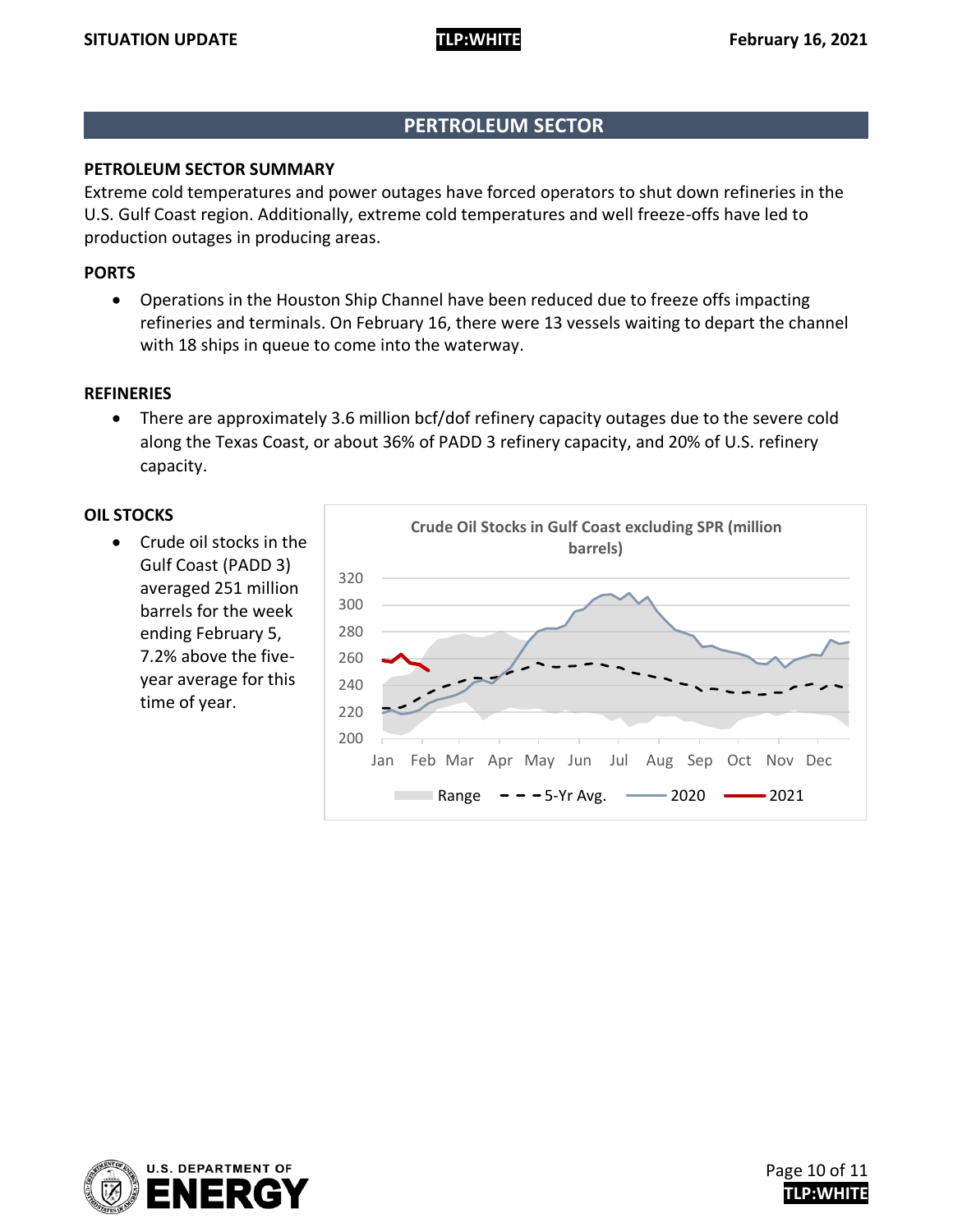# **PERTROLEUM SECTOR**

#### **PETROLEUM SECTOR SUMMARY**

Extreme cold temperatures and power outages have forced operators to shut down refineries in the U.S. Gulf Coast region. Additionally, extreme cold temperatures and well freeze-offs have led to production outages in producing areas.

#### **PORTS**

• Operations in the Houston Ship Channel have been reduced due to freeze offs impacting refineries and terminals. On February 16, there were 13 vessels waiting to depart the channel with 18 ships in queue to come into the waterway.

#### **REFINERIES**

• There are approximately 3.6 million bcf/dof refinery capacity outages due to the severe cold along the Texas Coast, or about 36% of PADD 3 refinery capacity, and 20% of U.S. refinery capacity.

#### **OIL STOCKS**

• Crude oil stocks in the Gulf Coast (PADD 3) averaged 251 million barrels for the week ending February 5, 7.2% above the fiveyear average for this time of year.